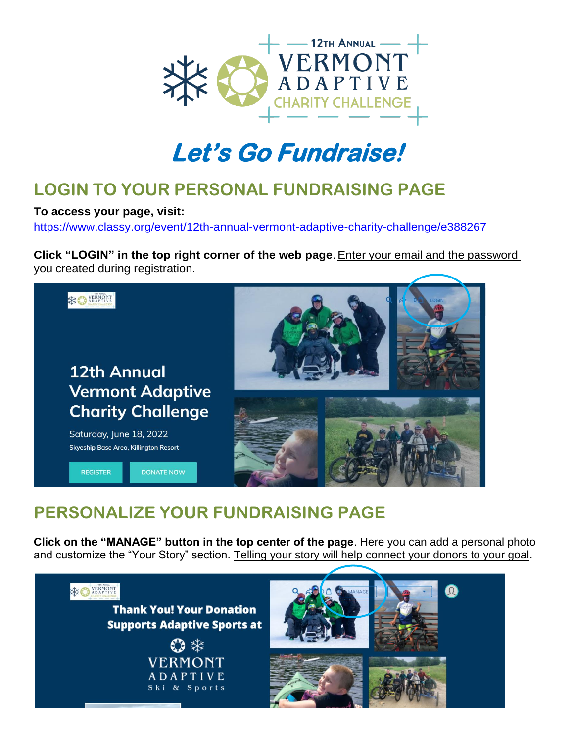

## **Let's Go Fundraise!**

### **LOGIN TO YOUR PERSONAL FUNDRAISING PAGE**

**To access your page, visit:**

<https://www.classy.org/event/12th-annual-vermont-adaptive-charity-challenge/e388267>

**Click "LOGIN" in the top right corner of the web page**.Enter your email and the password you created during registration.



### **PERSONALIZE YOUR FUNDRAISING PAGE**

**Click on the "MANAGE" button in the top center of the page**. Here you can add a personal photo and customize the "Your Story" section. Telling your story will help connect your donors to your goal.

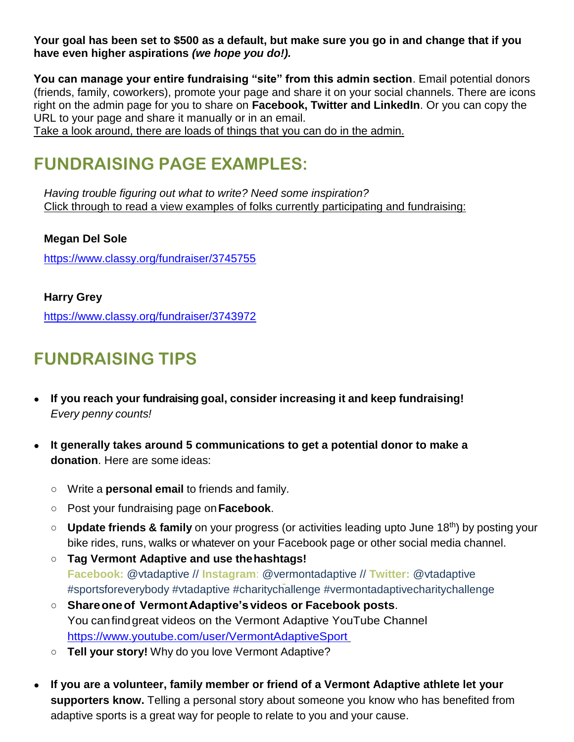**Your goal has been set to \$500 as a default, but make sure you go in and change that if you have even higher aspirations** *(we hope you do!).*

**You can manage your entire fundraising "site" from this admin section**. Email potential donors (friends, family, coworkers), promote your page and share it on your social channels. There are icons right on the admin page for you to share on **Facebook, Twitter and LinkedIn**. Or you can copy the URL to your page and share it manually or in an email.

Take a look around, there are loads of things that you can do in the admin.

### **FUNDRAISING PAGE EXAMPLES:**

*Having trouble figuring out what to write? Need some inspiration?* Click through to read a view examples of folks currently participating and fundraising:

**Megan Del Sole** <https://www.classy.org/fundraiser/3745755>

#### **Harry Grey**

<https://www.classy.org/fundraiser/3743972>

### **FUNDRAISING TIPS**

- **If you reach your fundraising goal, consider increasing it and keep fundraising!** *Every penny counts!*
- **It generally takes around 5 communications to get a potential donor to make a donation**. Here are some ideas:
	- Write a **personal email** to friends and family.
	- Post your fundraising page on**Facebook**.
	- **Update friends & family** on your progress (or activities leading upto June 18th) by posting your bike rides, runs, walks or whatever on your Facebook page or other social media channel.
	- **Tag Vermont Adaptive and use thehashtags! Facebook:** @vtadaptive // **Instagram**: @vermontadaptive // **Twitter:** @vtadaptive #sportsforeverybody #vtadaptive #charitychallenge #vermontadaptivecharitychallenge
	- **Shareoneof VermontAdaptive'svideos or Facebook posts**. You canfindgreat videos on the Vermont Adaptive YouTube Channel [https://ww](https://w/)[w.youtube.com/user/VermontAdaptiveSport](http://www.youtube.com/user/VermontAdaptiveSport)
	- **Tell your story!** Why do you love Vermont Adaptive?
- **If you are a volunteer, family member or friend of a Vermont Adaptive athlete let your supporters know.** Telling a personal story about someone you know who has benefited from adaptive sports is a great way for people to relate to you and your cause.